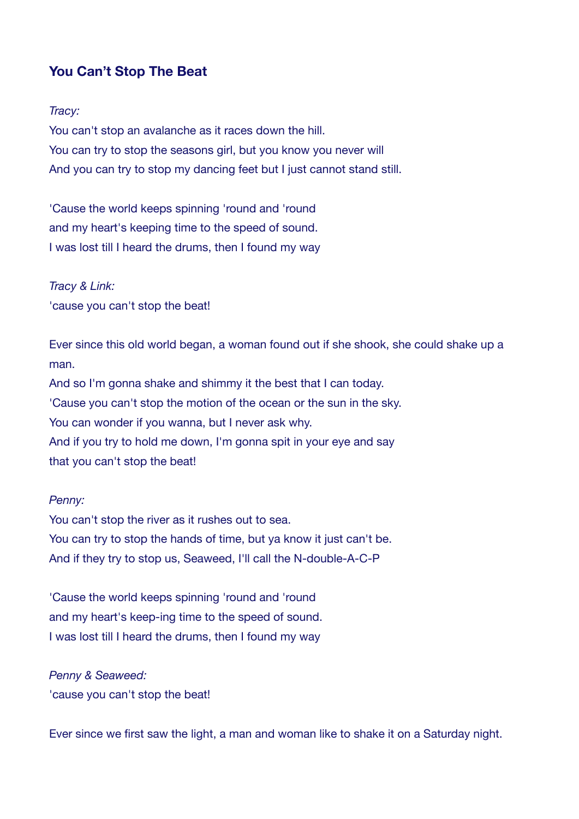# **You Can't Stop The Beat**

#### *Tracy:*

You can't stop an avalanche as it races down the hill. You can try to stop the seasons girl, but you know you never will And you can try to stop my dancing feet but I just cannot stand still.

'Cause the world keeps spinning 'round and 'round and my heart's keeping time to the speed of sound. I was lost till I heard the drums, then I found my way

*Tracy & Link:*  'cause you can't stop the beat!

Ever since this old world began, a woman found out if she shook, she could shake up a man. And so I'm gonna shake and shimmy it the best that I can today. 'Cause you can't stop the motion of the ocean or the sun in the sky. You can wonder if you wanna, but I never ask why. And if you try to hold me down. I'm gonna spit in your eve and say that you can't stop the beat!

#### *Penny:*

You can't stop the river as it rushes out to sea. You can try to stop the hands of time, but ya know it just can't be. And if they try to stop us, Seaweed, I'll call the N-double-A-C-P

'Cause the world keeps spinning 'round and 'round and my heart's keep-ing time to the speed of sound. I was lost till I heard the drums, then I found my way

*Penny & Seaweed:* 'cause you can't stop the beat!

Ever since we first saw the light, a man and woman like to shake it on a Saturday night.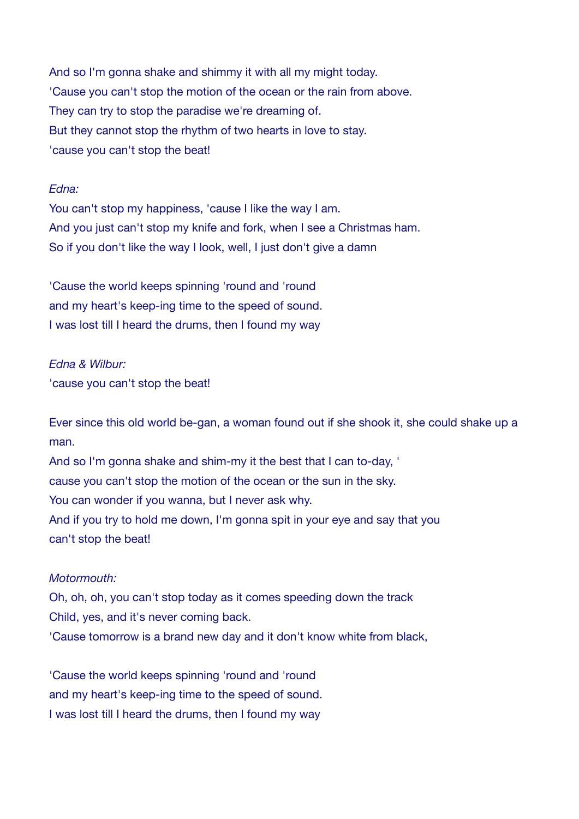And so I'm gonna shake and shimmy it with all my might today. 'Cause you can't stop the motion of the ocean or the rain from above. They can try to stop the paradise we're dreaming of. But they cannot stop the rhythm of two hearts in love to stay. 'cause you can't stop the beat!

#### *Edna:*

You can't stop my happiness, 'cause I like the way I am. And you just can't stop my knife and fork, when I see a Christmas ham. So if you don't like the way I look, well, I just don't give a damn

'Cause the world keeps spinning 'round and 'round and my heart's keep-ing time to the speed of sound. I was lost till I heard the drums, then I found my way

### *Edna & Wilbur:*

'cause you can't stop the beat!

Ever since this old world be-gan, a woman found out if she shook it, she could shake up a man.

And so I'm gonna shake and shim-my it the best that I can to-day, ' cause you can't stop the motion of the ocean or the sun in the sky. You can wonder if you wanna, but I never ask why. And if you try to hold me down, I'm gonna spit in your eye and say that you can't stop the beat!

### *Motormouth:*

Oh, oh, oh, you can't stop today as it comes speeding down the track Child, yes, and it's never coming back. 'Cause tomorrow is a brand new day and it don't know white from black,

'Cause the world keeps spinning 'round and 'round and my heart's keep-ing time to the speed of sound. I was lost till I heard the drums, then I found my way